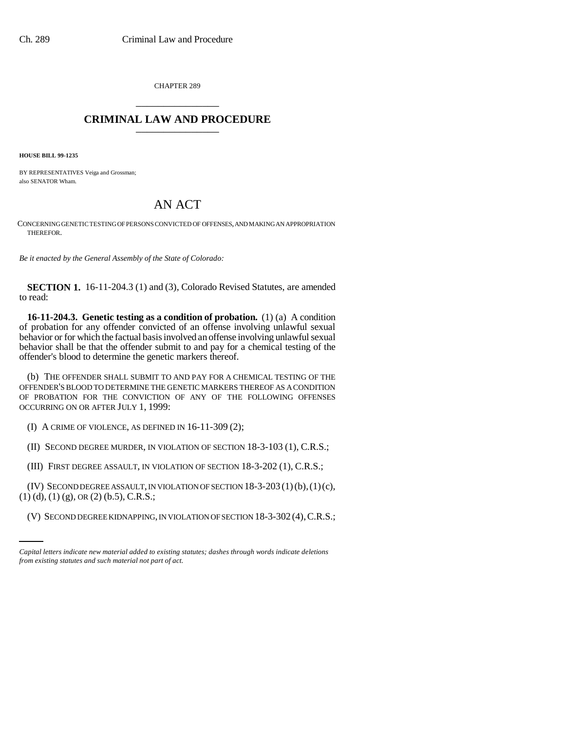CHAPTER 289 \_\_\_\_\_\_\_\_\_\_\_\_\_\_\_

## **CRIMINAL LAW AND PROCEDURE** \_\_\_\_\_\_\_\_\_\_\_\_\_\_\_

**HOUSE BILL 99-1235**

BY REPRESENTATIVES Veiga and Grossman; also SENATOR Wham.

## AN ACT

CONCERNING GENETIC TESTING OF PERSONS CONVICTED OF OFFENSES, AND MAKING AN APPROPRIATION THEREFOR.

*Be it enacted by the General Assembly of the State of Colorado:*

**SECTION 1.** 16-11-204.3 (1) and (3), Colorado Revised Statutes, are amended to read:

**16-11-204.3. Genetic testing as a condition of probation.** (1) (a) A condition of probation for any offender convicted of an offense involving unlawful sexual behavior or for which the factual basis involved an offense involving unlawful sexual behavior shall be that the offender submit to and pay for a chemical testing of the offender's blood to determine the genetic markers thereof.

(b) THE OFFENDER SHALL SUBMIT TO AND PAY FOR A CHEMICAL TESTING OF THE OFFENDER'S BLOOD TO DETERMINE THE GENETIC MARKERS THEREOF AS A CONDITION OF PROBATION FOR THE CONVICTION OF ANY OF THE FOLLOWING OFFENSES OCCURRING ON OR AFTER JULY 1, 1999:

(I) A CRIME OF VIOLENCE, AS DEFINED IN 16-11-309 (2);

(II) SECOND DEGREE MURDER, IN VIOLATION OF SECTION 18-3-103 (1), C.R.S.;

(III) FIRST DEGREE ASSAULT, IN VIOLATION OF SECTION 18-3-202 (1), C.R.S.;

 $(1)$  (d), (1) (g), OR (2) (b.5), C.R.S.; (IV) SECOND DEGREE ASSAULT, IN VIOLATION OF SECTION 18-3-203 (1)(b),(1)(c),

(V) SECOND DEGREE KIDNAPPING, IN VIOLATION OF SECTION 18-3-302 (4),C.R.S.;

*Capital letters indicate new material added to existing statutes; dashes through words indicate deletions from existing statutes and such material not part of act.*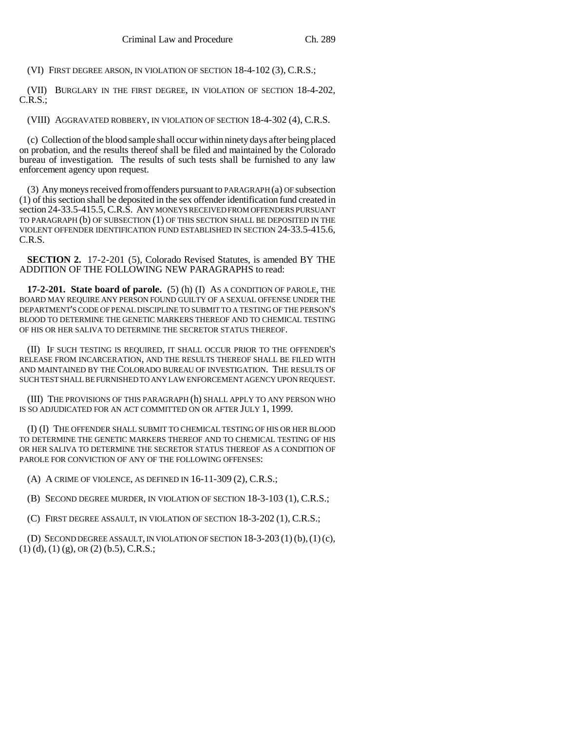(VI) FIRST DEGREE ARSON, IN VIOLATION OF SECTION 18-4-102 (3), C.R.S.;

(VII) BURGLARY IN THE FIRST DEGREE, IN VIOLATION OF SECTION 18-4-202, C.R.S.;

(VIII) AGGRAVATED ROBBERY, IN VIOLATION OF SECTION 18-4-302 (4), C.R.S.

(c) Collection of the blood sample shall occur within ninety days after being placed on probation, and the results thereof shall be filed and maintained by the Colorado bureau of investigation. The results of such tests shall be furnished to any law enforcement agency upon request.

(3) Any moneys received from offenders pursuant to PARAGRAPH (a) OF subsection (1) of this section shall be deposited in the sex offender identification fund created in section 24-33.5-415.5, C.R.S. ANY MONEYS RECEIVED FROM OFFENDERS PURSUANT TO PARAGRAPH (b) OF SUBSECTION (1) OF THIS SECTION SHALL BE DEPOSITED IN THE VIOLENT OFFENDER IDENTIFICATION FUND ESTABLISHED IN SECTION 24-33.5-415.6, C.R.S.

**SECTION 2.** 17-2-201 (5), Colorado Revised Statutes, is amended BY THE ADDITION OF THE FOLLOWING NEW PARAGRAPHS to read:

**17-2-201. State board of parole.** (5) (h) (I) AS A CONDITION OF PAROLE, THE BOARD MAY REQUIRE ANY PERSON FOUND GUILTY OF A SEXUAL OFFENSE UNDER THE DEPARTMENT'S CODE OF PENAL DISCIPLINE TO SUBMIT TO A TESTING OF THE PERSON'S BLOOD TO DETERMINE THE GENETIC MARKERS THEREOF AND TO CHEMICAL TESTING OF HIS OR HER SALIVA TO DETERMINE THE SECRETOR STATUS THEREOF.

(II) IF SUCH TESTING IS REQUIRED, IT SHALL OCCUR PRIOR TO THE OFFENDER'S RELEASE FROM INCARCERATION, AND THE RESULTS THEREOF SHALL BE FILED WITH AND MAINTAINED BY THE COLORADO BUREAU OF INVESTIGATION. THE RESULTS OF SUCH TEST SHALL BE FURNISHED TO ANY LAW ENFORCEMENT AGENCY UPON REQUEST.

(III) THE PROVISIONS OF THIS PARAGRAPH (h) SHALL APPLY TO ANY PERSON WHO IS SO ADJUDICATED FOR AN ACT COMMITTED ON OR AFTER JULY 1, 1999.

(I) (I) THE OFFENDER SHALL SUBMIT TO CHEMICAL TESTING OF HIS OR HER BLOOD TO DETERMINE THE GENETIC MARKERS THEREOF AND TO CHEMICAL TESTING OF HIS OR HER SALIVA TO DETERMINE THE SECRETOR STATUS THEREOF AS A CONDITION OF PAROLE FOR CONVICTION OF ANY OF THE FOLLOWING OFFENSES:

(A) A CRIME OF VIOLENCE, AS DEFINED IN 16-11-309 (2), C.R.S.;

(B) SECOND DEGREE MURDER, IN VIOLATION OF SECTION 18-3-103 (1), C.R.S.;

(C) FIRST DEGREE ASSAULT, IN VIOLATION OF SECTION 18-3-202 (1), C.R.S.;

(D) SECOND DEGREE ASSAULT, IN VIOLATION OF SECTION  $18-3-203(1)(b)$ ,  $(1)(c)$ ,  $(1)$  (d),  $(1)$  (g), OR  $(2)$  (b.5), C.R.S.;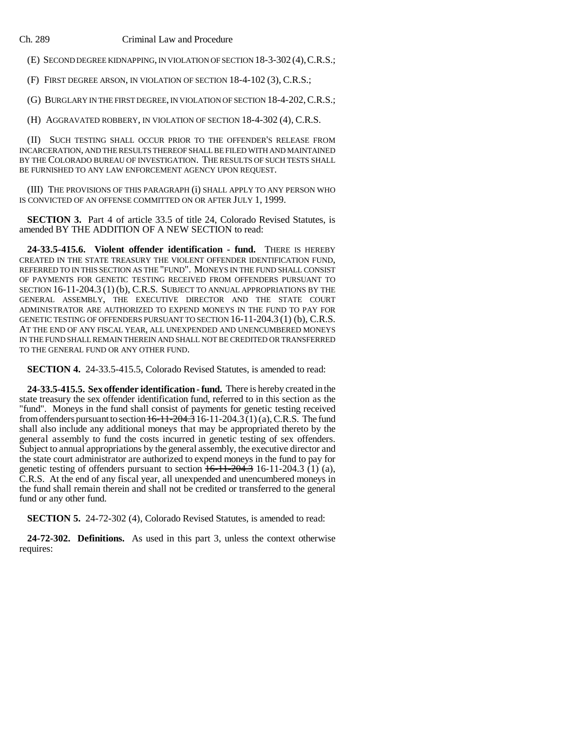Ch. 289 Criminal Law and Procedure

(E) SECOND DEGREE KIDNAPPING, IN VIOLATION OF SECTION 18-3-302 (4),C.R.S.;

(F) FIRST DEGREE ARSON, IN VIOLATION OF SECTION 18-4-102 (3), C.R.S.;

(G) BURGLARY IN THE FIRST DEGREE, IN VIOLATION OF SECTION 18-4-202,C.R.S.;

(H) AGGRAVATED ROBBERY, IN VIOLATION OF SECTION 18-4-302 (4), C.R.S.

(II) SUCH TESTING SHALL OCCUR PRIOR TO THE OFFENDER'S RELEASE FROM INCARCERATION, AND THE RESULTS THEREOF SHALL BE FILED WITH AND MAINTAINED BY THE COLORADO BUREAU OF INVESTIGATION. THE RESULTS OF SUCH TESTS SHALL BE FURNISHED TO ANY LAW ENFORCEMENT AGENCY UPON REQUEST.

(III) THE PROVISIONS OF THIS PARAGRAPH (i) SHALL APPLY TO ANY PERSON WHO IS CONVICTED OF AN OFFENSE COMMITTED ON OR AFTER JULY 1, 1999.

**SECTION 3.** Part 4 of article 33.5 of title 24, Colorado Revised Statutes, is amended BY THE ADDITION OF A NEW SECTION to read:

**24-33.5-415.6. Violent offender identification - fund.** THERE IS HEREBY CREATED IN THE STATE TREASURY THE VIOLENT OFFENDER IDENTIFICATION FUND, REFERRED TO IN THIS SECTION AS THE "FUND". MONEYS IN THE FUND SHALL CONSIST OF PAYMENTS FOR GENETIC TESTING RECEIVED FROM OFFENDERS PURSUANT TO SECTION 16-11-204.3 (1) (b), C.R.S. SUBJECT TO ANNUAL APPROPRIATIONS BY THE GENERAL ASSEMBLY, THE EXECUTIVE DIRECTOR AND THE STATE COURT ADMINISTRATOR ARE AUTHORIZED TO EXPEND MONEYS IN THE FUND TO PAY FOR GENETIC TESTING OF OFFENDERS PURSUANT TO SECTION 16-11-204.3 (1) (b), C.R.S. AT THE END OF ANY FISCAL YEAR, ALL UNEXPENDED AND UNENCUMBERED MONEYS IN THE FUND SHALL REMAIN THEREIN AND SHALL NOT BE CREDITED OR TRANSFERRED TO THE GENERAL FUND OR ANY OTHER FUND.

**SECTION 4.** 24-33.5-415.5, Colorado Revised Statutes, is amended to read:

**24-33.5-415.5. Sex offender identification - fund.** There is hereby created in the state treasury the sex offender identification fund, referred to in this section as the "fund". Moneys in the fund shall consist of payments for genetic testing received from offenders pursuant to section  $16-11-204.3$   $16-11-204.3$   $(1)(a)$ , C.R.S. The fund shall also include any additional moneys that may be appropriated thereto by the general assembly to fund the costs incurred in genetic testing of sex offenders. Subject to annual appropriations by the general assembly, the executive director and the state court administrator are authorized to expend moneys in the fund to pay for genetic testing of offenders pursuant to section  $16-11-204.3$  16-11-204.3 (1) (a), C.R.S. At the end of any fiscal year, all unexpended and unencumbered moneys in the fund shall remain therein and shall not be credited or transferred to the general fund or any other fund.

**SECTION 5.** 24-72-302 (4), Colorado Revised Statutes, is amended to read:

**24-72-302. Definitions.** As used in this part 3, unless the context otherwise requires: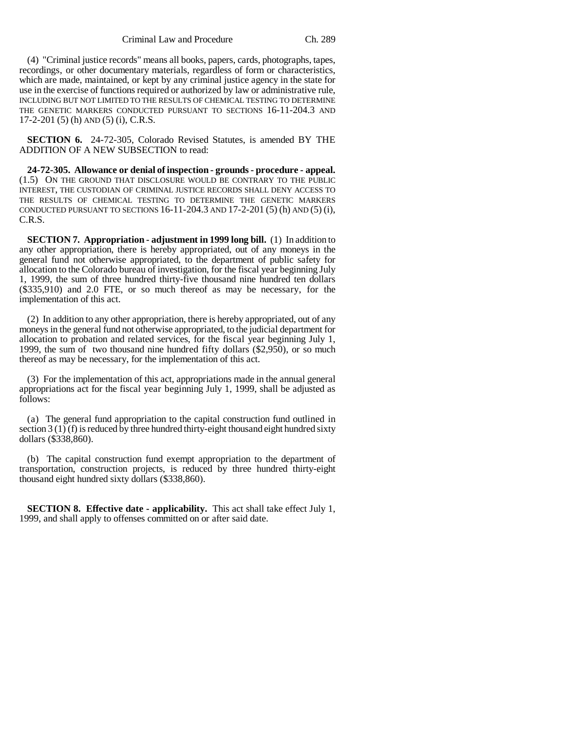Criminal Law and Procedure Ch. 289

(4) "Criminal justice records" means all books, papers, cards, photographs, tapes, recordings, or other documentary materials, regardless of form or characteristics, which are made, maintained, or kept by any criminal justice agency in the state for use in the exercise of functions required or authorized by law or administrative rule, INCLUDING BUT NOT LIMITED TO THE RESULTS OF CHEMICAL TESTING TO DETERMINE THE GENETIC MARKERS CONDUCTED PURSUANT TO SECTIONS 16-11-204.3 AND 17-2-201 (5) (h) AND (5) (i), C.R.S.

**SECTION 6.** 24-72-305, Colorado Revised Statutes, is amended BY THE ADDITION OF A NEW SUBSECTION to read:

**24-72-305. Allowance or denial of inspection - grounds - procedure - appeal.** (1.5) ON THE GROUND THAT DISCLOSURE WOULD BE CONTRARY TO THE PUBLIC INTEREST, THE CUSTODIAN OF CRIMINAL JUSTICE RECORDS SHALL DENY ACCESS TO THE RESULTS OF CHEMICAL TESTING TO DETERMINE THE GENETIC MARKERS CONDUCTED PURSUANT TO SECTIONS 16-11-204.3 AND 17-2-201 (5) (h) AND (5) (i), C.R.S.

**SECTION 7. Appropriation - adjustment in 1999 long bill.** (1) In addition to any other appropriation, there is hereby appropriated, out of any moneys in the general fund not otherwise appropriated, to the department of public safety for allocation to the Colorado bureau of investigation, for the fiscal year beginning July 1, 1999, the sum of three hundred thirty-five thousand nine hundred ten dollars (\$335,910) and 2.0 FTE, or so much thereof as may be necessary, for the implementation of this act.

(2) In addition to any other appropriation, there is hereby appropriated, out of any moneys in the general fund not otherwise appropriated, to the judicial department for allocation to probation and related services, for the fiscal year beginning July 1, 1999, the sum of two thousand nine hundred fifty dollars (\$2,950), or so much thereof as may be necessary, for the implementation of this act.

(3) For the implementation of this act, appropriations made in the annual general appropriations act for the fiscal year beginning July 1, 1999, shall be adjusted as follows:

(a) The general fund appropriation to the capital construction fund outlined in section 3 (1) (f) is reduced by three hundred thirty-eight thousand eight hundred sixty dollars (\$338,860).

(b) The capital construction fund exempt appropriation to the department of transportation, construction projects, is reduced by three hundred thirty-eight thousand eight hundred sixty dollars (\$338,860).

**SECTION 8. Effective date - applicability.** This act shall take effect July 1, 1999, and shall apply to offenses committed on or after said date.